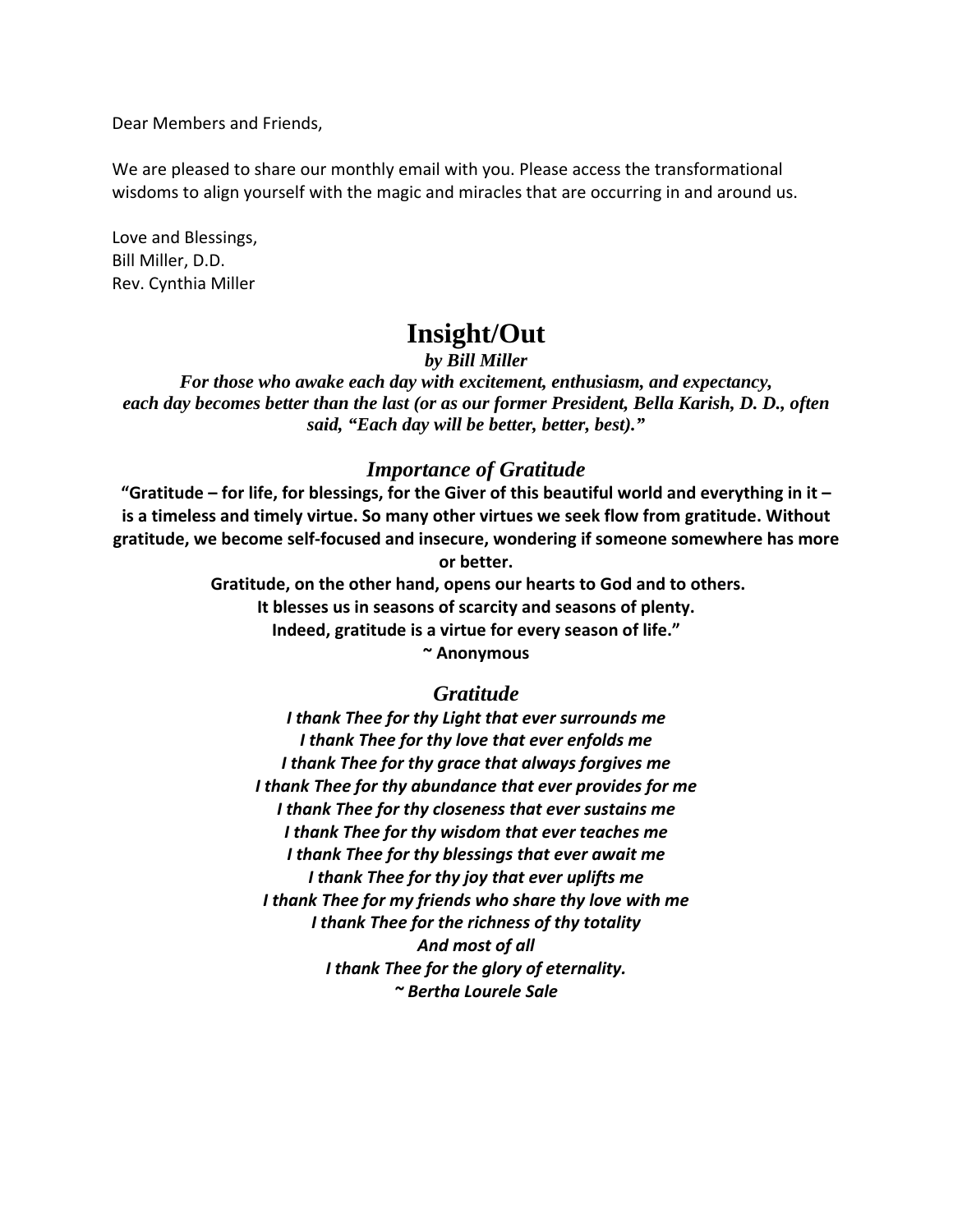Dear Members and Friends,

We are pleased to share our monthly email with you. Please access the transformational wisdoms to align yourself with the magic and miracles that are occurring in and around us.

Love and Blessings, Bill Miller, D.D. Rev. Cynthia Miller

# **Insight/Out**

*by Bill Miller* 

*For those who awake each day with excitement, enthusiasm, and expectancy, each day becomes better than the last (or as our former President, Bella Karish, D. D., often said, "Each day will be better, better, best)."* 

#### *Importance of Gratitude*

"Gratitude – for life, for blessings, for the Giver of this beautiful world and everything in it – **is a timeless and timely virtue. So many other virtues we seek flow from gratitude. Without gratitude, we become self‐focused and insecure, wondering if someone somewhere has more or better.**

> **Gratitude, on the other hand, opens our hearts to God and to others. It blesses us in seasons of scarcity and seasons of plenty. Indeed, gratitude is a virtue for every season of life."**

> > **~ Anonymous**

#### *Gratitude*

*I thank Thee for thy Light that ever surrounds me I thank Thee for thy love that ever enfolds me I thank Thee for thy grace that always forgives me I thank Thee for thy abundance that ever provides for me I thank Thee for thy closeness that ever sustains me I thank Thee for thy wisdom that ever teaches me I thank Thee for thy blessings that ever await me I thank Thee for thy joy that ever uplifts me I thank Thee for my friends who share thy love with me I thank Thee for the richness of thy totality And most of all I thank Thee for the glory of eternality. ~ Bertha Lourele Sale*